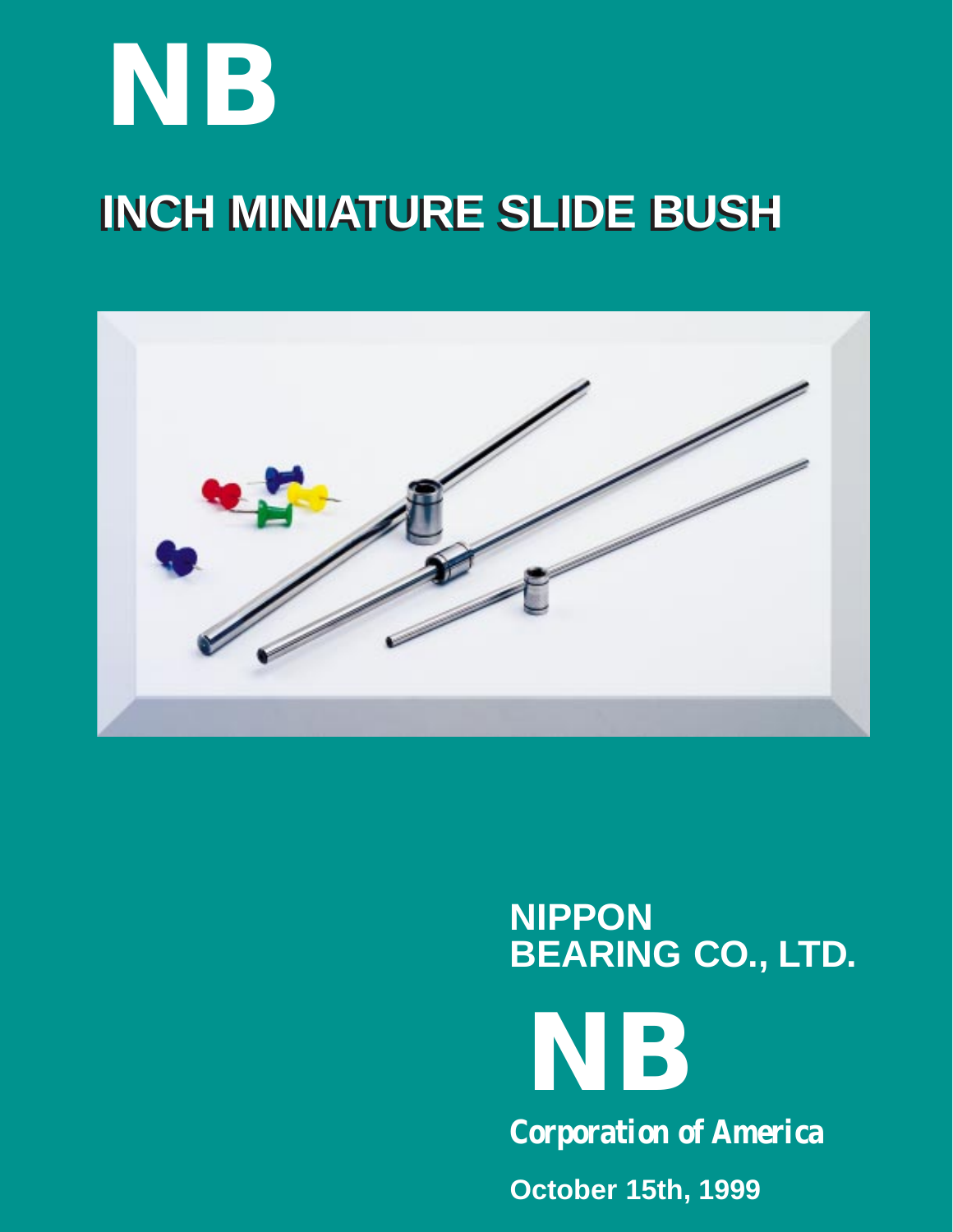# **INCH MINIATURE SLIDE BUSH INCH MINIATURE SLIDE BUSH NB**



## **NIPPON BEARING CO., LTD.**

**NB**

**Corporation of America**

**October 15th, 1999**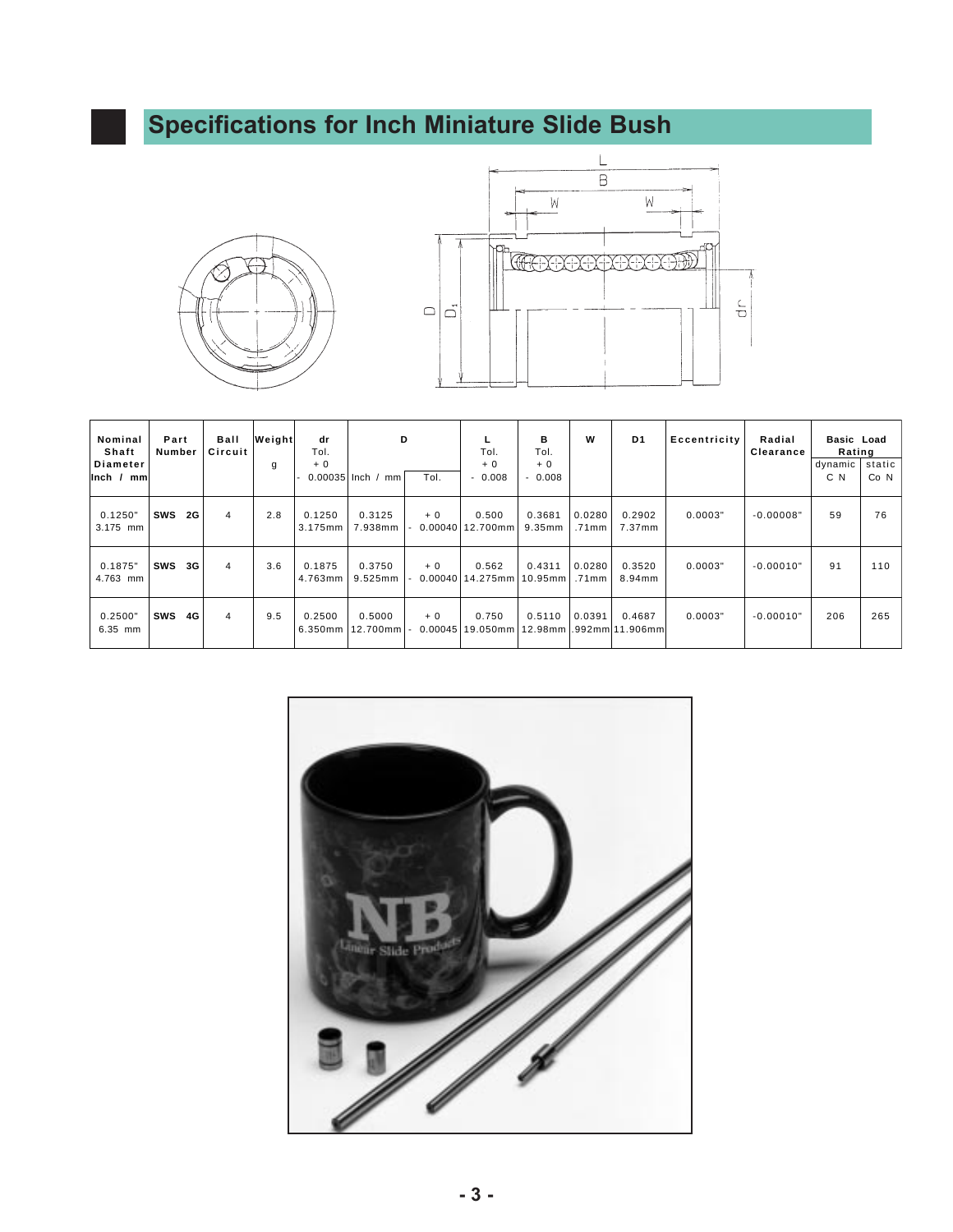### **Specifications for Inch Miniature Slide Bush**





| Nominal<br>Shaft<br>Diameter<br>$Inch$ /<br>mml | Part<br>Number |           | Ball<br>Circuit | Weight<br>g | dr<br>Tol.<br>$+0$<br>0.00035 Inch / | D<br>mm                    | Tol.            | Tol.<br>$+0$<br>$-0.008$                           | в<br>Tol.<br>$+0$<br>0.008<br>$\overline{\phantom{a}}$ | W               | D <sub>1</sub>   | Eccentricity | Radial<br>Clearance | Basic Load<br>Rating<br>dynamic<br>C N | static<br>Co <sub>N</sub> |
|-------------------------------------------------|----------------|-----------|-----------------|-------------|--------------------------------------|----------------------------|-----------------|----------------------------------------------------|--------------------------------------------------------|-----------------|------------------|--------------|---------------------|----------------------------------------|---------------------------|
| 0.1250"<br>3.175 mm                             | sws            | <b>2G</b> | 4               | 2.8         | 0.1250<br>$3.175$ mm                 | 0.3125<br>7.938mm          | $+0$<br>0.00040 | 0.500<br>12.700mm 9.35mm                           | 0.3681                                                 | 0.0280<br>.71mm | 0.2902<br>7.37mm | 0.0003"      | $-0.00008"$         | 59                                     | 76                        |
| 0.1875"<br>4.763 mm                             | sws            | 3G        | 4               | 3.6         | 0.1875<br>4.763mm                    | 0.3750<br>9.525mm          | $+0$<br>0.00040 | 0.562<br>14.275mm 10.95mm                          | 0.4311                                                 | 0.0280<br>.71mm | 0.3520<br>8.94mm | 0.0003"      | $-0.00010"$         | 91                                     | 110                       |
| 0.2500"<br>$6.35$ mm                            | sws            | 4G        | 4               | 9.5         | 0.2500                               | 0.5000<br>6.350mm 12.700mm | $+0$            | 0.750<br>0.00045 19.050mm 12.98mm 1.992mm 11.906mm | 0.5110                                                 | 0.0391          | 0.4687           | 0.0003"      | $-0.00010"$         | 206                                    | 265                       |